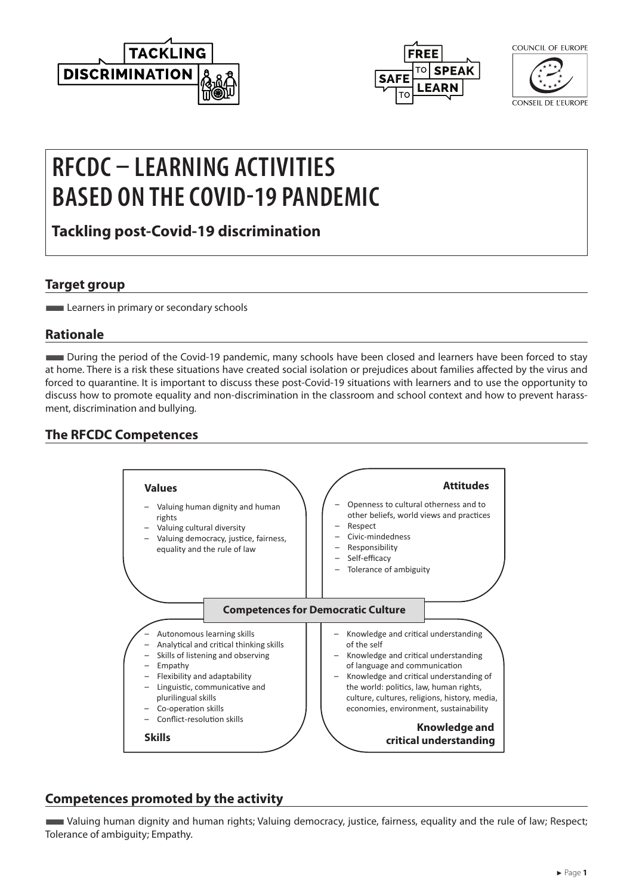



COUNCIL OF FUROPE

CONSEIL DE L'EUROPE

# **RFCDC – LEARNING ACTIVITIES BASED ON THE COVID-19 PANDEMIC**

**Tackling post-Covid-19 discrimination**

## **Target group**

**Learners in primary or secondary schools** 

# **Rationale**

■During the period of the Covid-19 pandemic, many schools have been closed and learners have been forced to stay at home. There is a risk these situations have created social isolation or prejudices about families affected by the virus and forced to quarantine. It is important to discuss these post-Covid-19 situations with learners and to use the opportunity to discuss how to promote equality and non-discrimination in the classroom and school context and how to prevent harassment, discrimination and bullying.

# **The RFCDC Competences**



# **Competences promoted by the activity**

■Valuing human dignity and human rights; Valuing democracy, justice, fairness, equality and the rule of law; Respect; Tolerance of ambiguity; Empathy.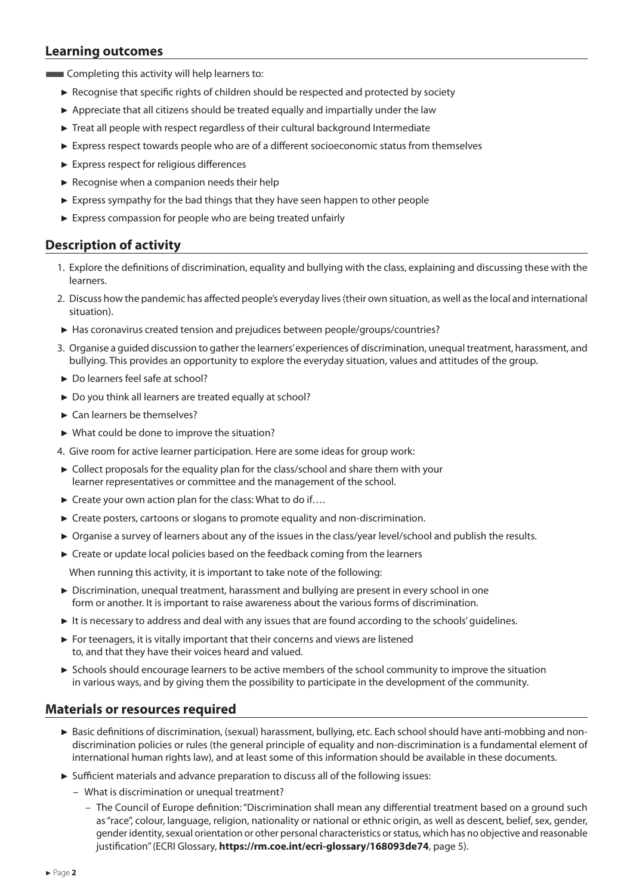### **Learning outcomes**

**EXECOMPLER** Completing this activity will help learners to:

- ► Recognise that specific rights of children should be respected and protected by society
- ► Appreciate that all citizens should be treated equally and impartially under the law
- ► Treat all people with respect regardless of their cultural background Intermediate
- ► Express respect towards people who are of a different socioeconomic status from themselves
- ► Express respect for religious differences
- $\blacktriangleright$  Recognise when a companion needs their help
- ► Express sympathy for the bad things that they have seen happen to other people
- ► Express compassion for people who are being treated unfairly

#### **Description of activity**

- 1. Explore the definitions of discrimination, equality and bullying with the class, explaining and discussing these with the learners.
- 2. Discuss how the pandemic has affected people's everyday lives (their own situation, as well as the local and international situation).
- ► Has coronavirus created tension and prejudices between people/groups/countries?
- 3. Organise a guided discussion to gather the learners' experiences of discrimination, unequal treatment, harassment, and bullying. This provides an opportunity to explore the everyday situation, values and attitudes of the group.
- ► Do learners feel safe at school?
- ► Do you think all learners are treated equally at school?
- ► Can learners be themselves?
- ► What could be done to improve the situation?
- 4. Give room for active learner participation. Here are some ideas for group work:
- ► Collect proposals for the equality plan for the class/school and share them with your learner representatives or committee and the management of the school.
- ► Create your own action plan for the class: What to do if….
- ► Create posters, cartoons or slogans to promote equality and non-discrimination.
- ► Organise a survey of learners about any of the issues in the class/year level/school and publish the results.
- ► Create or update local policies based on the feedback coming from the learners

When running this activity, it is important to take note of the following:

- ► Discrimination, unequal treatment, harassment and bullying are present in every school in one form or another. It is important to raise awareness about the various forms of discrimination.
- ► It is necessary to address and deal with any issues that are found according to the schools' guidelines.
- ► For teenagers, it is vitally important that their concerns and views are listened to, and that they have their voices heard and valued.
- ► Schools should encourage learners to be active members of the school community to improve the situation in various ways, and by giving them the possibility to participate in the development of the community.

#### **Materials or resources required**

- ► Basic definitions of discrimination, (sexual) harassment, bullying, etc. Each school should have anti-mobbing and nondiscrimination policies or rules (the general principle of equality and non-discrimination is a fundamental element of international human rights law), and at least some of this information should be available in these documents.
- ► Sufficient materials and advance preparation to discuss all of the following issues:
	- What is discrimination or unequal treatment?
		- The Council of Europe definition: "Discrimination shall mean any differential treatment based on a ground such as "race", colour, language, religion, nationality or national or ethnic origin, as well as descent, belief, sex, gender, gender identity, sexual orientation or other personal characteristics or status, which has no objective and reasonable justification" (ECRI Glossary, **<https://rm.coe.int/ecri-glossary/168093de74>**, page 5).